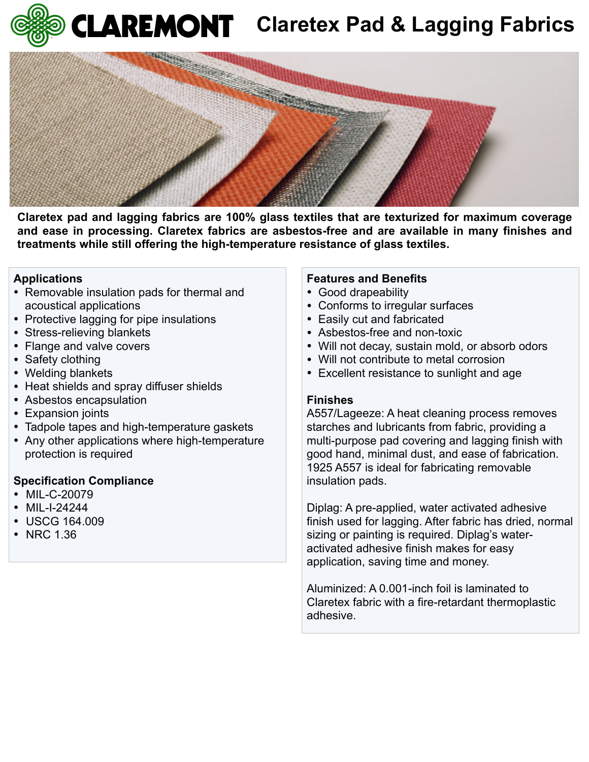



Claretex pad and lagging fabrics are 100% glass textiles that are texturized for maximum coverage and ease in processing. Claretex fabrics are asbestos-free and are available in many finishes and **treatments while still offering the high-temperature resistance of glass textiles.** rics

**Section 3: Physical / Chemical Characteristics**

## **Applications**

- **Permovable insulation pads for thermal and** acoustical applications • Removable insu s for thermal and >1000 F. **Appearance and Odor:**
- **•** Protective lagging for pipe insulations • Protective lagging for pipe in
- **Example Stress-relieving blankets**
- Flange and valve covers **Section 4: Fire and Explosion Hazard Data**
- Safety clothing
- Welding blankets
- Heat shields and spray diffuser shields
- **Asbestos encapsulation**
- Expansion joints
- Tadpole tapes and high-temperature gaskets
- Any other applications where high-temperature **UEL: Protection is required**

## **Specification Compliance**

- MIL-C-20079
- MIL-I-24244
- USCG 164.009
- NRC 1.36

## **Features and Benefits**

- Good drapeability
- Conforms to irregular surfaces
- Easily cut and fabricated
- Asbestos-free and non-toxic
- Will not decay, sustain mold, or absorb odors
- Will not contribute to metal corrosion
- Excellent resistance to sunlight and age

## **Finishes**

A557/Lageeze: A heat cleaning process removes starches and lubricants from fabric, providing a multi-purpose pad covering and lagging finish with good hand, minimal dust, and ease of fabrication. 1925 A557 is ideal for fabricating removable insulation pads. Use self-contained breathing apparatus & protective clothing.

> Diplag: A pre-applied, water activated adhesive finish used for lagging. After fabric has dried, normal sizing or painting is required. Diplag's wateractivated adhesive finish makes for easy application, saving time and money.

Aluminized: A 0.001-inch foil is laminated to Claretex fabric with a fire-retardant thermoplastic adhesive.